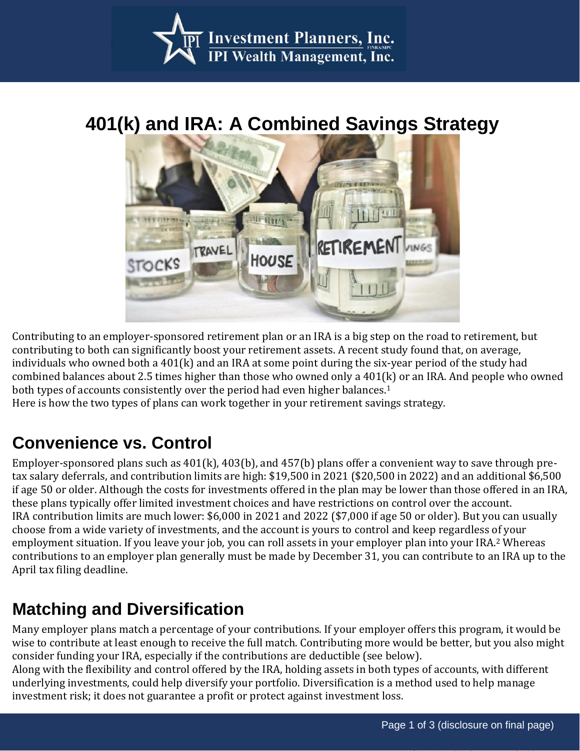

# **401(k) and IRA: A Combined Savings Strategy**



Contributing to an employer-sponsored retirement plan or an IRA is a big step on the road to retirement, but contributing to both can significantly boost your retirement assets. A recent study found that, on average, individuals who owned both a 401(k) and an IRA at some point during the six-year period of the study had combined balances about 2.5 times higher than those who owned only a 401(k) or an IRA. And people who owned both types of accounts consistently over the period had even higher balances.<sup>1</sup>

Here is how the two types of plans can work together in your retirement savings strategy.

## **Convenience vs. Control**

Employer-sponsored plans such as 401(k), 403(b), and 457(b) plans offer a convenient way to save through pretax salary deferrals, and contribution limits are high: \$19,500 in 2021 (\$20,500 in 2022) and an additional \$6,500 if age 50 or older. Although the costs for investments offered in the plan may be lower than those offered in an IRA, these plans typically offer limited investment choices and have restrictions on control over the account. IRA contribution limits are much lower: \$6,000 in 2021 and 2022 (\$7,000 if age 50 or older). But you can usually choose from a wide variety of investments, and the account is yours to control and keep regardless of your employment situation. If you leave your job, you can roll assets in your employer plan into your IRA.<sup>2</sup> Whereas contributions to an employer plan generally must be made by December 31, you can contribute to an IRA up to the April tax filing deadline.

#### **Matching and Diversification**

Many employer plans match a percentage of your contributions. If your employer offers this program, it would be wise to contribute at least enough to receive the full match. Contributing more would be better, but you also might consider funding your IRA, especially if the contributions are deductible (see below).

Along with the flexibility and control offered by the IRA, holding assets in both types of accounts, with different underlying investments, could help diversify your portfolio. Diversification is a method used to help manage investment risk; it does not guarantee a profit or protect against investment loss.

Page 1 of 2 - See disclosure on final page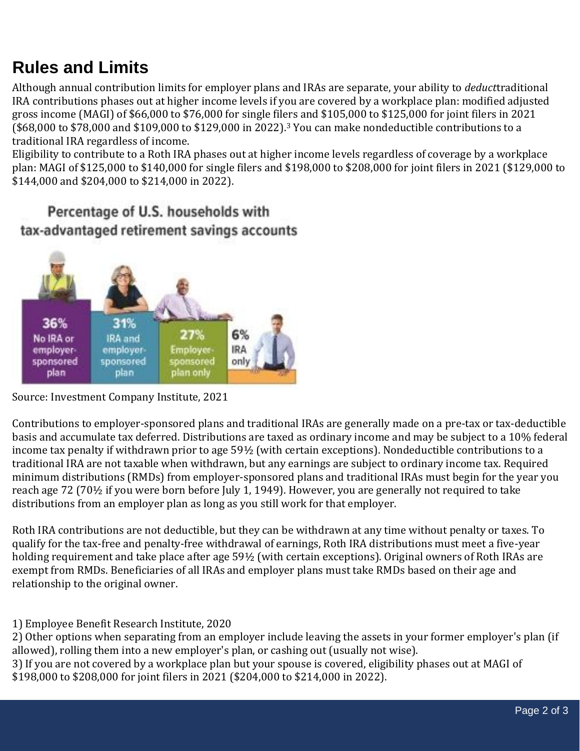## **Rules and Limits**

Although annual contribution limits for employer plans and IRAs are separate, your ability to *deduct*traditional IRA contributions phases out at higher income levels if you are covered by a workplace plan: modified adjusted gross income (MAGI) of \$66,000 to \$76,000 for single filers and \$105,000 to \$125,000 for joint filers in 2021 (\$68,000 to \$78,000 and \$109,000 to \$129,000 in 2022).<sup>3</sup> You can make nondeductible contributions to a traditional IRA regardless of income.

Eligibility to contribute to a Roth IRA phases out at higher income levels regardless of coverage by a workplace plan: MAGI of \$125,000 to \$140,000 for single filers and \$198,000 to \$208,000 for joint filers in 2021 (\$129,000 to \$144,000 and \$204,000 to \$214,000 in 2022).

#### Percentage of U.S. households with tax-advantaged retirement savings accounts



Source: Investment Company Institute, 2021

Contributions to employer-sponsored plans and traditional IRAs are generally made on a pre-tax or tax-deductible basis and accumulate tax deferred. Distributions are taxed as ordinary income and may be subject to a 10% federal income tax penalty if withdrawn prior to age 59½ (with certain exceptions). Nondeductible contributions to a traditional IRA are not taxable when withdrawn, but any earnings are subject to ordinary income tax. Required minimum distributions (RMDs) from employer-sponsored plans and traditional IRAs must begin for the year you reach age 72 (70½ if you were born before July 1, 1949). However, you are generally not required to take distributions from an employer plan as long as you still work for that employer.

Roth IRA contributions are not deductible, but they can be withdrawn at any time without penalty or taxes. To qualify for the tax-free and penalty-free withdrawal of earnings, Roth IRA distributions must meet a five-year holding requirement and take place after age 59½ (with certain exceptions). Original owners of Roth IRAs are exempt from RMDs. Beneficiaries of all IRAs and employer plans must take RMDs based on their age and relationship to the original owner.

1) Employee Benefit Research Institute, 2020

2) Other options when separating from an employer include leaving the assets in your former employer's plan (if allowed), rolling them into a new employer's plan, or cashing out (usually not wise).

3) If you are not covered by a workplace plan but your spouse is covered, eligibility phases out at MAGI of \$198,000 to \$208,000 for joint filers in 2021 (\$204,000 to \$214,000 in 2022).